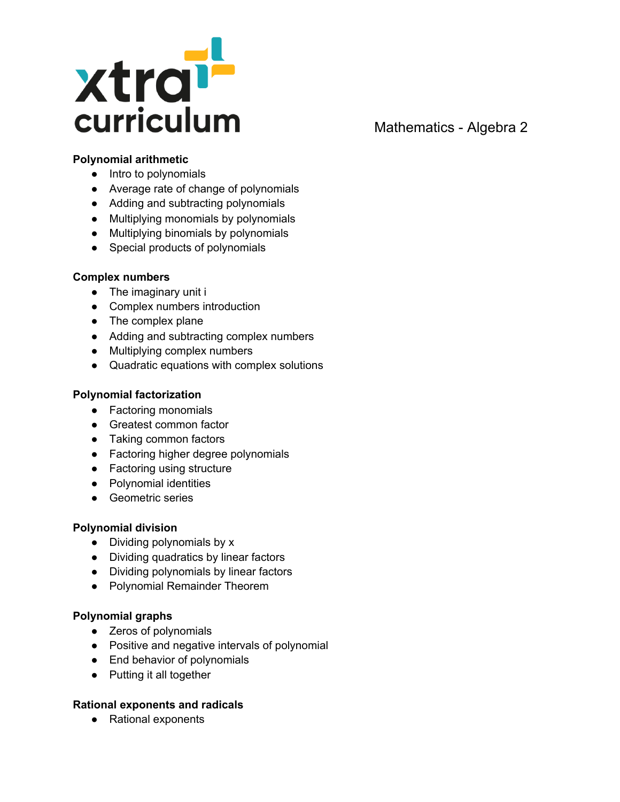

# Mathematics - Algebra 2

## **Polynomial arithmetic**

- Intro to polynomials
- Average rate of change of polynomials
- Adding and subtracting polynomials
- Multiplying monomials by polynomials
- Multiplying binomials by polynomials
- Special products of polynomials

#### **Complex numbers**

- The imaginary unit i
- Complex numbers introduction
- The complex plane
- Adding and subtracting complex numbers
- Multiplying complex numbers
- Quadratic equations with complex solutions

## **Polynomial factorization**

- Factoring monomials
- Greatest common factor
- Taking common factors
- Factoring higher degree polynomials
- Factoring using structure
- Polynomial identities
- Geometric series

### **Polynomial division**

- Dividing polynomials by x
- Dividing quadratics by linear factors
- Dividing polynomials by linear factors
- Polynomial Remainder Theorem

### **Polynomial graphs**

- Zeros of polynomials
- Positive and negative intervals of polynomial
- End behavior of polynomials
- Putting it all together

### **Rational exponents and radicals**

● Rational exponents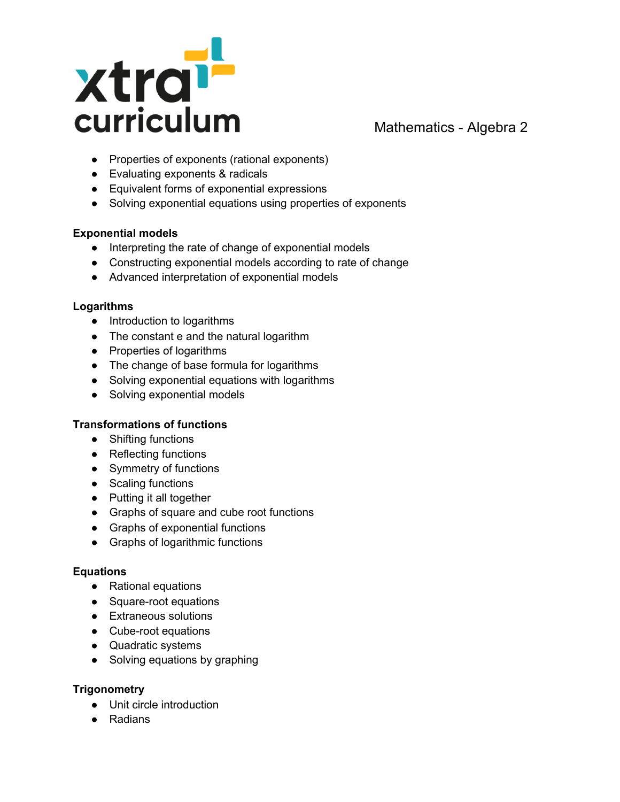

Mathematics - Algebra 2

- Properties of exponents (rational exponents)
- Evaluating exponents & radicals
- Equivalent forms of exponential expressions
- Solving exponential equations using properties of exponents

## **Exponential models**

- Interpreting the rate of change of exponential models
- Constructing exponential models according to rate of change
- Advanced interpretation of exponential models

## **Logarithms**

- Introduction to logarithms
- The constant e and the natural logarithm
- Properties of logarithms
- The change of base formula for logarithms
- Solving exponential equations with logarithms
- Solving exponential models

## **Transformations of functions**

- Shifting functions
- Reflecting functions
- Symmetry of functions
- Scaling functions
- Putting it all together
- Graphs of square and cube root functions
- Graphs of exponential functions
- Graphs of logarithmic functions

### **Equations**

- Rational equations
- Square-root equations
- Extraneous solutions
- Cube-root equations
- Quadratic systems
- Solving equations by graphing

### **Trigonometry**

- Unit circle introduction
- Radians